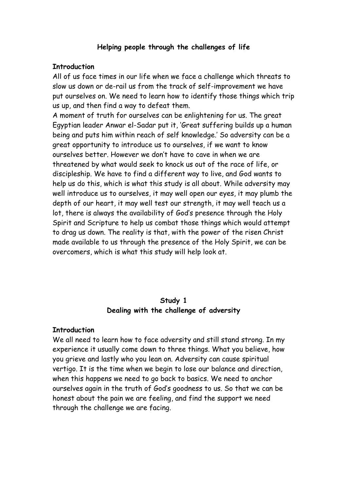#### **Helping people through the challenges of life**

#### **Introduction**

All of us face times in our life when we face a challenge which threats to slow us down or de-rail us from the track of self-improvement we have put ourselves on. We need to learn how to identify those things which trip us up, and then find a way to defeat them.

A moment of truth for ourselves can be enlightening for us. The great Egyptian leader Anwar el-Sadar put it, 'Great suffering builds up a human being and puts him within reach of self knowledge.' So adversity can be a great opportunity to introduce us to ourselves, if we want to know ourselves better. However we don't have to cave in when we are threatened by what would seek to knock us out of the race of life, or discipleship. We have to find a different way to live, and God wants to help us do this, which is what this study is all about. While adversity may well introduce us to ourselves, it may well open our eyes, it may plumb the depth of our heart, it may well test our strength, it may well teach us a lot, there is always the availability of God's presence through the Holy Spirit and Scripture to help us combat those things which would attempt to drag us down. The reality is that, with the power of the risen Christ made available to us through the presence of the Holy Spirit, we can be overcomers, which is what this study will help look at.

## **Study 1 Dealing with the challenge of adversity**

#### **Introduction**

We all need to learn how to face adversity and still stand strong. In my experience it usually come down to three things. What you believe, how you grieve and lastly who you lean on. Adversity can cause spiritual vertigo. It is the time when we begin to lose our balance and direction, when this happens we need to go back to basics. We need to anchor ourselves again in the truth of God's goodness to us. So that we can be honest about the pain we are feeling, and find the support we need through the challenge we are facing.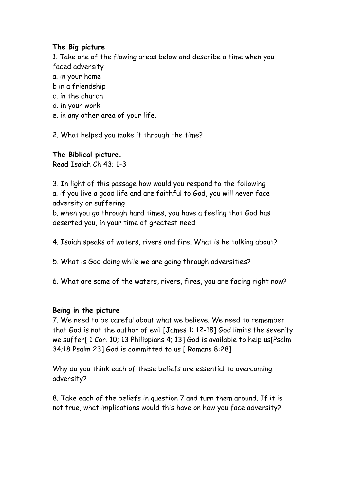# **The Big picture**

1. Take one of the flowing areas below and describe a time when you faced adversity

- a. in your home
- b in a friendship
- c. in the church
- d. in your work
- e. in any other area of your life.
- 2. What helped you make it through the time?

**The Biblical picture.**

Read Isaiah Ch 43; 1-3

3. In light of this passage how would you respond to the following a. if you live a good life and are faithful to God, you will never face adversity or suffering b. when you go through hard times, you have a feeling that God has deserted you, in your time of greatest need.

- 4. Isaiah speaks of waters, rivers and fire. What is he talking about?
- 5. What is God doing while we are going through adversities?
- 6. What are some of the waters, rivers, fires, you are facing right now?

# **Being in the picture**

7. We need to be careful about what we believe. We need to remember that God is not the author of evil [James 1: 12-18] God limits the severity we suffer[ 1 Cor. 10; 13 Philippians 4; 13] God is available to help us[Psalm 34;18 Psalm 23] God is committed to us [ Romans 8:28]

Why do you think each of these beliefs are essential to overcoming adversity?

8. Take each of the beliefs in question 7 and turn them around. If it is not true, what implications would this have on how you face adversity?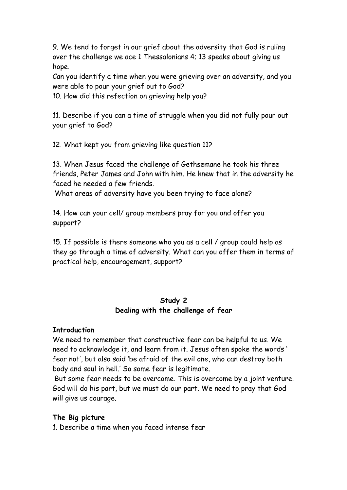9. We tend to forget in our grief about the adversity that God is ruling over the challenge we ace 1 Thessalonians 4; 13 speaks about giving us hope.

Can you identify a time when you were grieving over an adversity, and you were able to pour your grief out to God?

10. How did this refection on grieving help you?

11. Describe if you can a time of struggle when you did not fully pour out your grief to God?

12. What kept you from grieving like question 11?

13. When Jesus faced the challenge of Gethsemane he took his three friends, Peter James and John with him. He knew that in the adversity he faced he needed a few friends.

What areas of adversity have you been trying to face alone?

14. How can your cell/ group members pray for you and offer you support?

15. If possible is there someone who you as a cell / group could help as they go through a time of adversity. What can you offer them in terms of practical help, encouragement, support?

# **Study 2 Dealing with the challenge of fear**

#### **Introduction**

We need to remember that constructive fear can be helpful to us. We need to acknowledge it, and learn from it. Jesus often spoke the words ' fear not', but also said 'be afraid of the evil one, who can destroy both body and soul in hell.' So some fear is legitimate.

 But some fear needs to be overcome. This is overcome by a joint venture. God will do his part, but we must do our part. We need to pray that God will give us courage.

# **The Big picture**

1. Describe a time when you faced intense fear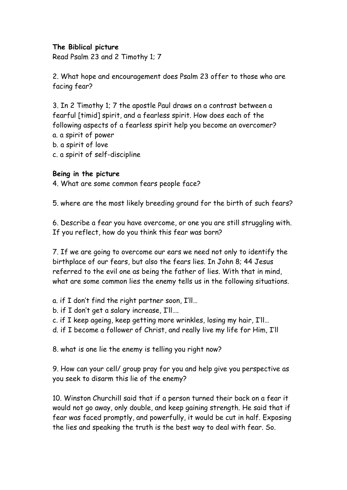## **The Biblical picture**

Read Psalm 23 and 2 Timothy 1; 7

2. What hope and encouragement does Psalm 23 offer to those who are facing fear?

3. In 2 Timothy 1; 7 the apostle Paul draws on a contrast between a fearful [timid] spirit, and a fearless spirit. How does each of the following aspects of a fearless spirit help you become an overcomer? a. a spirit of power b. a spirit of love c. a spirit of self-discipline

#### **Being in the picture**

4. What are some common fears people face?

5. where are the most likely breeding ground for the birth of such fears?

6. Describe a fear you have overcome, or one you are still struggling with. If you reflect, how do you think this fear was born?

7. If we are going to overcome our ears we need not only to identify the birthplace of our fears, but also the fears lies. In John 8; 44 Jesus referred to the evil one as being the father of lies. With that in mind, what are some common lies the enemy tells us in the following situations.

a. if I don't find the right partner soon, I'll…

b. if I don't get a salary increase, I'll….

c. if I keep ageing, keep getting more wrinkles, losing my hair, I'll…

d. if I become a follower of Christ, and really live my life for Him, I'll

8. what is one lie the enemy is telling you right now?

9. How can your cell/ group pray for you and help give you perspective as you seek to disarm this lie of the enemy?

10. Winston Churchill said that if a person turned their back on a fear it would not go away, only double, and keep gaining strength. He said that if fear was faced promptly, and powerfully, it would be cut in half. Exposing the lies and speaking the truth is the best way to deal with fear. So.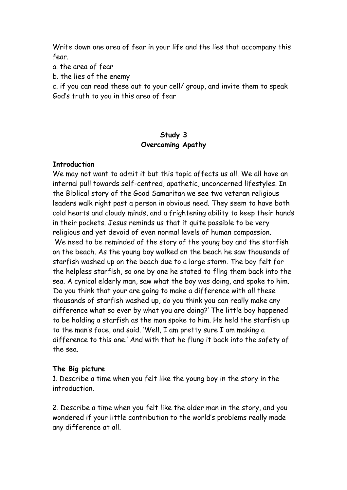Write down one area of fear in your life and the lies that accompany this fear.

a. the area of fear

b. the lies of the enemy

c. if you can read these out to your cell/ group, and invite them to speak God's truth to you in this area of fear

# **Study 3 Overcoming Apathy**

#### **Introduction**

We may not want to admit it but this topic affects us all. We all have an internal pull towards self-centred, apathetic, unconcerned lifestyles. In the Biblical story of the Good Samaritan we see two veteran religious leaders walk right past a person in obvious need. They seem to have both cold hearts and cloudy minds, and a frightening ability to keep their hands in their pockets. Jesus reminds us that it quite possible to be very religious and yet devoid of even normal levels of human compassion. We need to be reminded of the story of the young boy and the starfish on the beach. As the young boy walked on the beach he saw thousands of starfish washed up on the beach due to a large storm. The boy felt for the helpless starfish, so one by one he stated to fling them back into the sea. A cynical elderly man, saw what the boy was doing, and spoke to him. 'Do you think that your are going to make a difference with all these thousands of starfish washed up, do you think you can really make any difference what so ever by what you are doing?' The little boy happened to be holding a starfish as the man spoke to him. He held the starfish up to the man's face, and said. 'Well, I am pretty sure I am making a difference to this one.' And with that he flung it back into the safety of the sea.

#### **The Big picture**

1. Describe a time when you felt like the young boy in the story in the introduction.

2. Describe a time when you felt like the older man in the story, and you wondered if your little contribution to the world's problems really made any difference at all.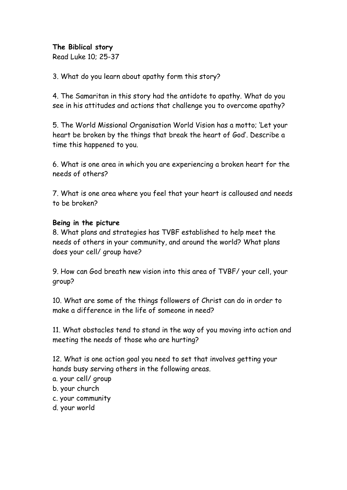# **The Biblical story**

Read Luke 10; 25-37

3. What do you learn about apathy form this story?

4. The Samaritan in this story had the antidote to apathy. What do you see in his attitudes and actions that challenge you to overcome apathy?

5. The World Missional Organisation World Vision has a motto; 'Let your heart be broken by the things that break the heart of God'. Describe a time this happened to you.

6. What is one area in which you are experiencing a broken heart for the needs of others?

7. What is one area where you feel that your heart is calloused and needs to be broken?

## **Being in the picture**

8. What plans and strategies has TVBF established to help meet the needs of others in your community, and around the world? What plans does your cell/ group have?

9. How can God breath new vision into this area of TVBF/ your cell, your group?

10. What are some of the things followers of Christ can do in order to make a difference in the life of someone in need?

11. What obstacles tend to stand in the way of you moving into action and meeting the needs of those who are hurting?

12. What is one action goal you need to set that involves getting your hands busy serving others in the following areas.

- a. your cell/ group
- b. your church
- c. your community
- d. your world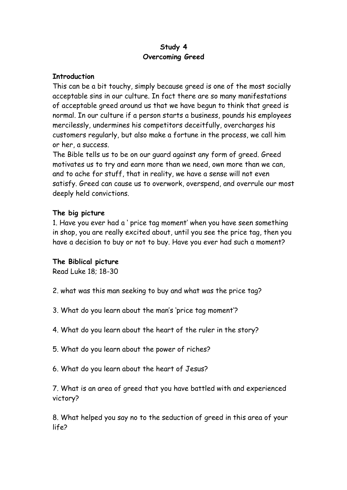## **Study 4 Overcoming Greed**

## **Introduction**

This can be a bit touchy, simply because greed is one of the most socially acceptable sins in our culture. In fact there are so many manifestations of acceptable greed around us that we have begun to think that greed is normal. In our culture if a person starts a business, pounds his employees mercilessly, undermines his competitors deceitfully, overcharges his customers regularly, but also make a fortune in the process, we call him or her, a success.

The Bible tells us to be on our guard against any form of greed. Greed motivates us to try and earn more than we need, own more than we can, and to ache for stuff, that in reality, we have a sense will not even satisfy. Greed can cause us to overwork, overspend, and overrule our most deeply held convictions.

# **The big picture**

1. Have you ever had a ' price tag moment' when you have seen something in shop, you are really excited about, until you see the price tag, then you have a decision to buy or not to buy. Have you ever had such a moment?

#### **The Biblical picture**

Read Luke 18; 18-30

- 2. what was this man seeking to buy and what was the price tag?
- 3. What do you learn about the man's 'price tag moment'?
- 4. What do you learn about the heart of the ruler in the story?
- 5. What do you learn about the power of riches?
- 6. What do you learn about the heart of Jesus?

7. What is an area of greed that you have battled with and experienced victory?

8. What helped you say no to the seduction of greed in this area of your life?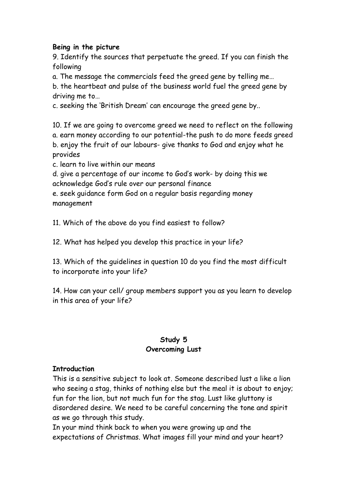## **Being in the picture**

9. Identify the sources that perpetuate the greed. If you can finish the following

a. The message the commercials feed the greed gene by telling me…

b. the heartbeat and pulse of the business world fuel the greed gene by driving me to…

c. seeking the 'British Dream' can encourage the greed gene by..

10. If we are going to overcome greed we need to reflect on the following a. earn money according to our potential-the push to do more feeds greed b. enjoy the fruit of our labours- give thanks to God and enjoy what he provides

c. learn to live within our means

d. give a percentage of our income to God's work- by doing this we acknowledge God's rule over our personal finance

e. seek guidance form God on a regular basis regarding money management

11. Which of the above do you find easiest to follow?

12. What has helped you develop this practice in your life?

13. Which of the guidelines in question 10 do you find the most difficult to incorporate into your life?

14. How can your cell/ group members support you as you learn to develop in this area of your life?

# **Study 5 Overcoming Lust**

# **Introduction**

This is a sensitive subject to look at. Someone described lust a like a lion who seeing a stag, thinks of nothing else but the meal it is about to enjoy; fun for the lion, but not much fun for the stag. Lust like gluttony is disordered desire. We need to be careful concerning the tone and spirit as we go through this study.

In your mind think back to when you were growing up and the expectations of Christmas. What images fill your mind and your heart?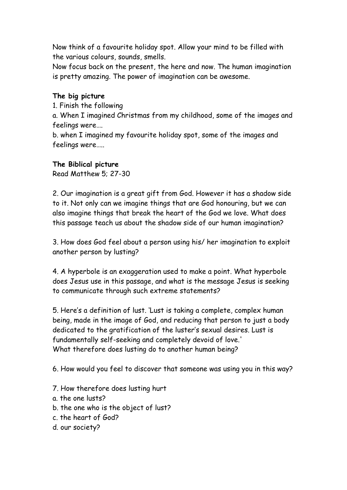Now think of a favourite holiday spot. Allow your mind to be filled with the various colours, sounds, smells.

Now focus back on the present, the here and now. The human imagination is pretty amazing. The power of imagination can be awesome.

## **The big picture**

1. Finish the following

a. When I imagined Christmas from my childhood, some of the images and feelings were….

b. when I imagined my favourite holiday spot, some of the images and feelings were…..

#### **The Biblical picture**

Read Matthew 5; 27-30

2. Our imagination is a great gift from God. However it has a shadow side to it. Not only can we imagine things that are God honouring, but we can also imagine things that break the heart of the God we love. What does this passage teach us about the shadow side of our human imagination?

3. How does God feel about a person using his/ her imagination to exploit another person by lusting?

4. A hyperbole is an exaggeration used to make a point. What hyperbole does Jesus use in this passage, and what is the message Jesus is seeking to communicate through such extreme statements?

5. Here's a definition of lust. 'Lust is taking a complete, complex human being, made in the image of God, and reducing that person to just a body dedicated to the gratification of the luster's sexual desires. Lust is fundamentally self-seeking and completely devoid of love.' What therefore does lusting do to another human being?

6. How would you feel to discover that someone was using you in this way?

- 7. How therefore does lusting hurt
- a. the one lusts?
- b. the one who is the object of lust?
- c. the heart of God?
- d. our society?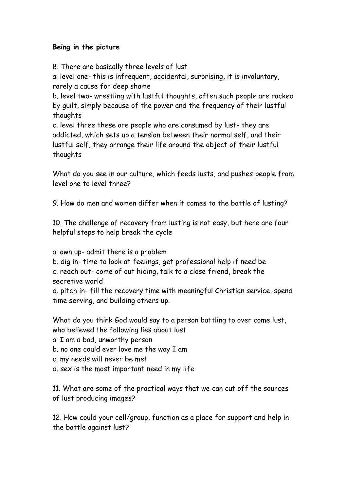# **Being in the picture**

8. There are basically three levels of lust

a. level one- this is infrequent, accidental, surprising, it is involuntary, rarely a cause for deep shame

b. level two- wrestling with lustful thoughts, often such people are racked by guilt, simply because of the power and the frequency of their lustful thoughts

c. level three these are people who are consumed by lust- they are addicted, which sets up a tension between their normal self, and their lustful self, they arrange their life around the object of their lustful thoughts

What do you see in our culture, which feeds lusts, and pushes people from level one to level three?

9. How do men and women differ when it comes to the battle of lusting?

10. The challenge of recovery from lusting is not easy, but here are four helpful steps to help break the cycle

a. own up- admit there is a problem

b. dig in- time to look at feelings, get professional help if need be c. reach out- come of out hiding, talk to a close friend, break the secretive world

d. pitch in- fill the recovery time with meaningful Christian service, spend time serving, and building others up.

What do you think God would say to a person battling to over come lust, who believed the following lies about lust

a. I am a bad, unworthy person

b. no one could ever love me the way I am

c. my needs will never be met

d. sex is the most important need in my life

11. What are some of the practical ways that we can cut off the sources of lust producing images?

12. How could your cell/group, function as a place for support and help in the battle against lust?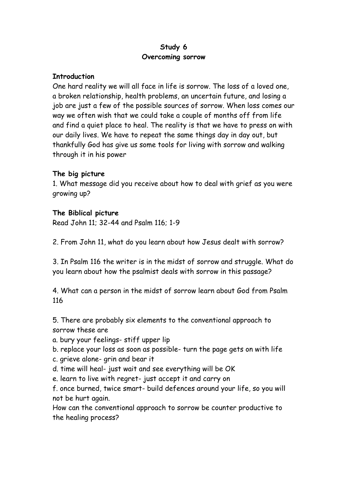## **Study 6 Overcoming sorrow**

#### **Introduction**

One hard reality we will all face in life is sorrow. The loss of a loved one, a broken relationship, health problems, an uncertain future, and losing a job are just a few of the possible sources of sorrow. When loss comes our way we often wish that we could take a couple of months off from life and find a quiet place to heal. The reality is that we have to press on with our daily lives. We have to repeat the same things day in day out, but thankfully God has give us some tools for living with sorrow and walking through it in his power

# **The big picture**

1. What message did you receive about how to deal with grief as you were growing up?

## **The Biblical picture**

Read John 11; 32-44 and Psalm 116; 1-9

2. From John 11, what do you learn about how Jesus dealt with sorrow?

3. In Psalm 116 the writer is in the midst of sorrow and struggle. What do you learn about how the psalmist deals with sorrow in this passage?

4. What can a person in the midst of sorrow learn about God from Psalm 116

5. There are probably six elements to the conventional approach to sorrow these are

a. bury your feelings- stiff upper lip

b. replace your loss as soon as possible- turn the page gets on with life

c. grieve alone- grin and bear it

d. time will heal- just wait and see everything will be OK

e. learn to live with regret- just accept it and carry on

f. once burned, twice smart- build defences around your life, so you will not be hurt again.

How can the conventional approach to sorrow be counter productive to the healing process?